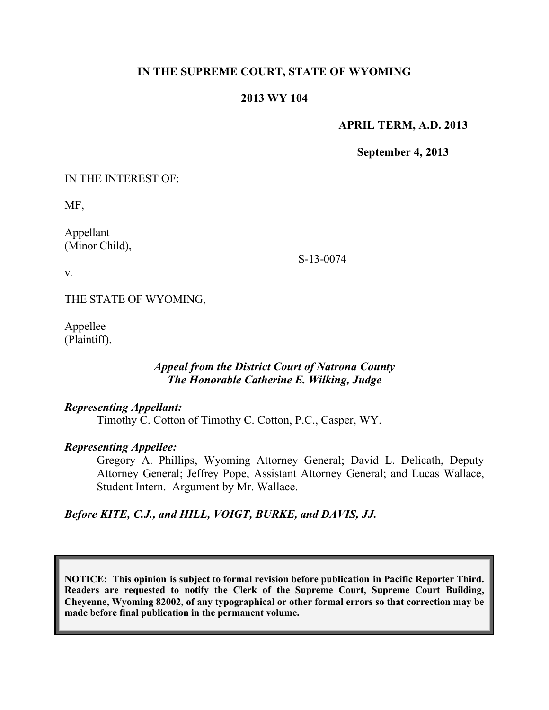## **IN THE SUPREME COURT, STATE OF WYOMING**

#### **2013 WY 104**

#### **APRIL TERM, A.D. 2013**

**September 4, 2013**

IN THE INTEREST OF:

MF,

Appellant (Minor Child),

S-13-0074

v.

THE STATE OF WYOMING,

Appellee (Plaintiff).

## *Appeal from the District Court of Natrona County The Honorable Catherine E. Wilking, Judge*

### *Representing Appellant:*

Timothy C. Cotton of Timothy C. Cotton, P.C., Casper, WY.

### *Representing Appellee:*

Gregory A. Phillips, Wyoming Attorney General; David L. Delicath, Deputy Attorney General; Jeffrey Pope, Assistant Attorney General; and Lucas Wallace, Student Intern. Argument by Mr. Wallace.

### *Before KITE, C.J., and HILL, VOIGT, BURKE, and DAVIS, JJ.*

**NOTICE: This opinion is subject to formal revision before publication in Pacific Reporter Third. Readers are requested to notify the Clerk of the Supreme Court, Supreme Court Building, Cheyenne, Wyoming 82002, of any typographical or other formal errors so that correction may be made before final publication in the permanent volume.**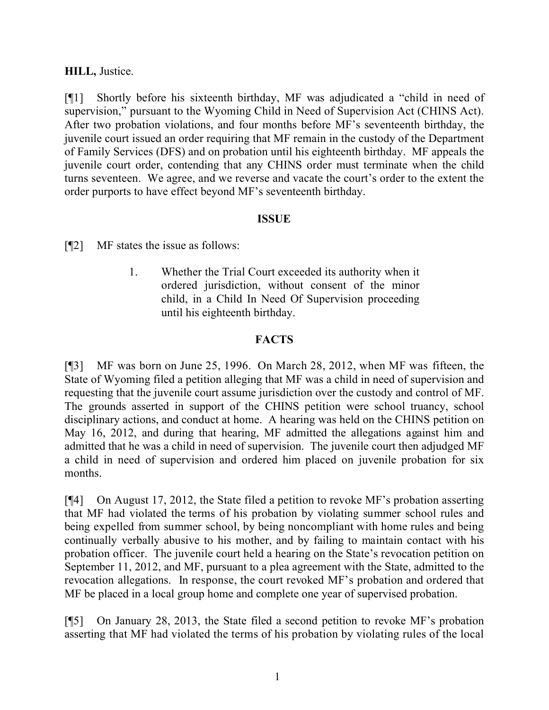## **HILL,** Justice.

[¶1] Shortly before his sixteenth birthday, MF was adjudicated a "child in need of supervision," pursuant to the Wyoming Child in Need of Supervision Act (CHINS Act). After two probation violations, and four months before MF's seventeenth birthday, the juvenile court issued an order requiring that MF remain in the custody of the Department of Family Services (DFS) and on probation until his eighteenth birthday. MF appeals the juvenile court order, contending that any CHINS order must terminate when the child turns seventeen. We agree, and we reverse and vacate the court's order to the extent the order purports to have effect beyond MF's seventeenth birthday.

### **ISSUE**

[¶2] MF states the issue as follows:

1. Whether the Trial Court exceeded its authority when it ordered jurisdiction, without consent of the minor child, in a Child In Need Of Supervision proceeding until his eighteenth birthday.

# **FACTS**

[¶3] MF was born on June 25, 1996. On March 28, 2012, when MF was fifteen, the State of Wyoming filed a petition alleging that MF was a child in need of supervision and requesting that the juvenile court assume jurisdiction over the custody and control of MF. The grounds asserted in support of the CHINS petition were school truancy, school disciplinary actions, and conduct at home. A hearing was held on the CHINS petition on May 16, 2012, and during that hearing, MF admitted the allegations against him and admitted that he was a child in need of supervision. The juvenile court then adjudged MF a child in need of supervision and ordered him placed on juvenile probation for six months.

[¶4] On August 17, 2012, the State filed a petition to revoke MF's probation asserting that MF had violated the terms of his probation by violating summer school rules and being expelled from summer school, by being noncompliant with home rules and being continually verbally abusive to his mother, and by failing to maintain contact with his probation officer. The juvenile court held a hearing on the State's revocation petition on September 11, 2012, and MF, pursuant to a plea agreement with the State, admitted to the revocation allegations. In response, the court revoked MF's probation and ordered that MF be placed in a local group home and complete one year of supervised probation.

[¶5] On January 28, 2013, the State filed a second petition to revoke MF's probation asserting that MF had violated the terms of his probation by violating rules of the local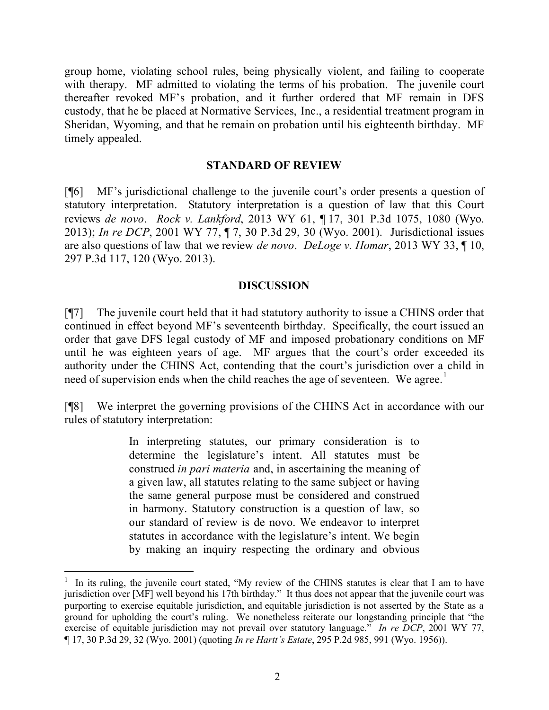group home, violating school rules, being physically violent, and failing to cooperate with therapy. MF admitted to violating the terms of his probation. The juvenile court thereafter revoked MF's probation, and it further ordered that MF remain in DFS custody, that he be placed at Normative Services, Inc., a residential treatment program in Sheridan, Wyoming, and that he remain on probation until his eighteenth birthday. MF timely appealed.

#### **STANDARD OF REVIEW**

[¶6] MF's jurisdictional challenge to the juvenile court's order presents a question of statutory interpretation. Statutory interpretation is a question of law that this Court reviews *de novo*. *Rock v. Lankford*, 2013 WY 61, ¶ 17, 301 P.3d 1075, 1080 (Wyo. 2013); *In re DCP*, 2001 WY 77, ¶ 7, 30 P.3d 29, 30 (Wyo. 2001). Jurisdictional issues are also questions of law that we review *de novo*. *DeLoge v. Homar*, 2013 WY 33, ¶ 10, 297 P.3d 117, 120 (Wyo. 2013).

### **DISCUSSION**

[¶7] The juvenile court held that it had statutory authority to issue a CHINS order that continued in effect beyond MF's seventeenth birthday. Specifically, the court issued an order that gave DFS legal custody of MF and imposed probationary conditions on MF until he was eighteen years of age. MF argues that the court's order exceeded its authority under the CHINS Act, contending that the court's jurisdiction over a child in need of supervision ends when the child reaches the age of seventeen. We agree.<sup>1</sup>

[¶8] We interpret the governing provisions of the CHINS Act in accordance with our rules of statutory interpretation:

> In interpreting statutes, our primary consideration is to determine the legislature's intent. All statutes must be construed *in pari materia* and, in ascertaining the meaning of a given law, all statutes relating to the same subject or having the same general purpose must be considered and construed in harmony. Statutory construction is a question of law, so our standard of review is de novo. We endeavor to interpret statutes in accordance with the legislature's intent. We begin by making an inquiry respecting the ordinary and obvious

 $\overline{a}$ 

<sup>1</sup> In its ruling, the juvenile court stated, "My review of the CHINS statutes is clear that I am to have jurisdiction over [MF] well beyond his 17th birthday." It thus does not appear that the juvenile court was purporting to exercise equitable jurisdiction, and equitable jurisdiction is not asserted by the State as a ground for upholding the court's ruling. We nonetheless reiterate our longstanding principle that "the exercise of equitable jurisdiction may not prevail over statutory language." *In re DCP*, 2001 WY 77, ¶ 17, 30 P.3d 29, 32 (Wyo. 2001) (quoting *In re Hartt's Estate*, 295 P.2d 985, 991 (Wyo. 1956)).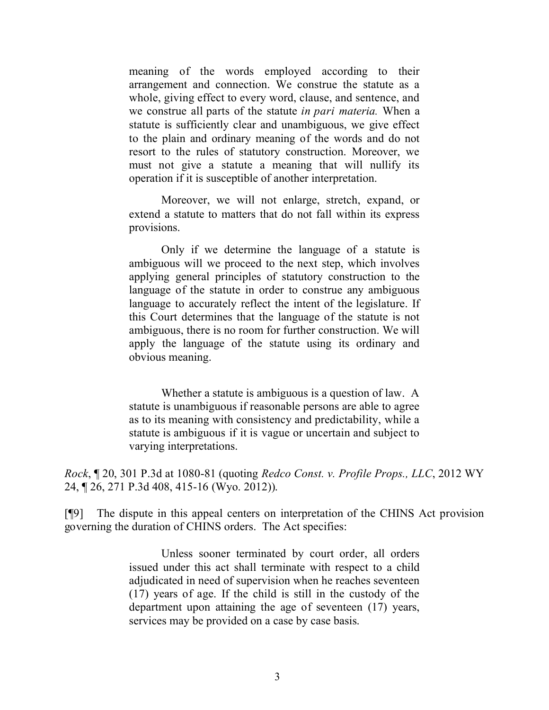meaning of the words employed according to their arrangement and connection. We construe the statute as a whole, giving effect to every word, clause, and sentence, and we construe all parts of the statute *in pari materia.* When a statute is sufficiently clear and unambiguous, we give effect to the plain and ordinary meaning of the words and do not resort to the rules of statutory construction. Moreover, we must not give a statute a meaning that will nullify its operation if it is susceptible of another interpretation.

Moreover, we will not enlarge, stretch, expand, or extend a statute to matters that do not fall within its express provisions.

Only if we determine the language of a statute is ambiguous will we proceed to the next step, which involves applying general principles of statutory construction to the language of the statute in order to construe any ambiguous language to accurately reflect the intent of the legislature. If this Court determines that the language of the statute is not ambiguous, there is no room for further construction. We will apply the language of the statute using its ordinary and obvious meaning.

Whether a statute is ambiguous is a question of law. A statute is unambiguous if reasonable persons are able to agree as to its meaning with consistency and predictability, while a statute is ambiguous if it is vague or uncertain and subject to varying interpretations.

*Rock*, ¶ 20, 301 P.3d at 1080-81 (quoting *Redco Const. v. Profile Props., LLC*, 2012 WY 24, ¶ 26, 271 P.3d 408, 415-16 (Wyo. 2012)).

[¶9] The dispute in this appeal centers on interpretation of the CHINS Act provision governing the duration of CHINS orders. The Act specifies:

> Unless sooner terminated by court order, all orders issued under this act shall terminate with respect to a child adjudicated in need of supervision when he reaches seventeen (17) years of age. If the child is still in the custody of the department upon attaining the age of seventeen (17) years, services may be provided on a case by case basis.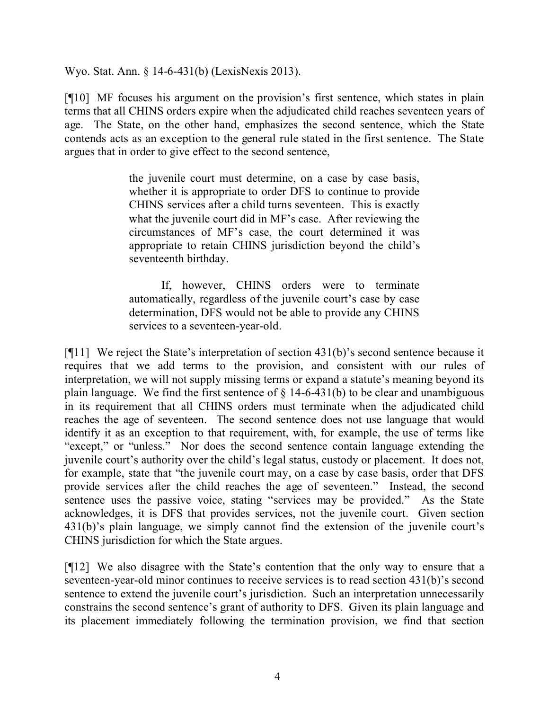Wyo. Stat. Ann. § 14-6-431(b) (LexisNexis 2013).

[¶10] MF focuses his argument on the provision's first sentence, which states in plain terms that all CHINS orders expire when the adjudicated child reaches seventeen years of age. The State, on the other hand, emphasizes the second sentence, which the State contends acts as an exception to the general rule stated in the first sentence. The State argues that in order to give effect to the second sentence,

> the juvenile court must determine, on a case by case basis, whether it is appropriate to order DFS to continue to provide CHINS services after a child turns seventeen. This is exactly what the juvenile court did in MF's case. After reviewing the circumstances of MF's case, the court determined it was appropriate to retain CHINS jurisdiction beyond the child's seventeenth birthday.

> If, however, CHINS orders were to terminate automatically, regardless of the juvenile court's case by case determination, DFS would not be able to provide any CHINS services to a seventeen-year-old.

[¶11] We reject the State's interpretation of section 431(b)'s second sentence because it requires that we add terms to the provision, and consistent with our rules of interpretation, we will not supply missing terms or expand a statute's meaning beyond its plain language. We find the first sentence of  $\S$  14-6-431(b) to be clear and unambiguous in its requirement that all CHINS orders must terminate when the adjudicated child reaches the age of seventeen. The second sentence does not use language that would identify it as an exception to that requirement, with, for example, the use of terms like "except," or "unless." Nor does the second sentence contain language extending the juvenile court's authority over the child's legal status, custody or placement. It does not, for example, state that "the juvenile court may, on a case by case basis, order that DFS provide services after the child reaches the age of seventeen." Instead, the second sentence uses the passive voice, stating "services may be provided." As the State acknowledges, it is DFS that provides services, not the juvenile court. Given section 431(b)'s plain language, we simply cannot find the extension of the juvenile court's CHINS jurisdiction for which the State argues.

[¶12] We also disagree with the State's contention that the only way to ensure that a seventeen-year-old minor continues to receive services is to read section 431(b)'s second sentence to extend the juvenile court's jurisdiction. Such an interpretation unnecessarily constrains the second sentence's grant of authority to DFS. Given its plain language and its placement immediately following the termination provision, we find that section